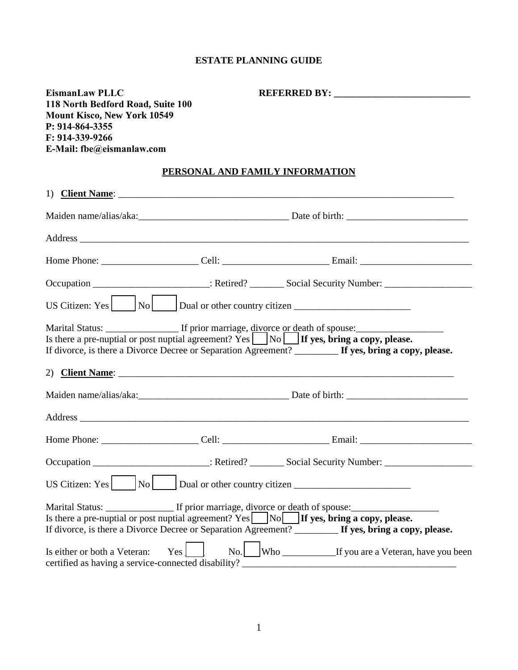## **ESTATE PLANNING GUIDE**

| <b>EismanLaw PLLC</b><br>118 North Bedford Road, Suite 100<br><b>Mount Kisco, New York 10549</b><br>P: 914-864-3355<br>$F: 914-339-9266$<br>E-Mail: fbe@eismanlaw.com |                                 |                                                                                                                                                                                                               |
|-----------------------------------------------------------------------------------------------------------------------------------------------------------------------|---------------------------------|---------------------------------------------------------------------------------------------------------------------------------------------------------------------------------------------------------------|
|                                                                                                                                                                       | PERSONAL AND FAMILY INFORMATION |                                                                                                                                                                                                               |
|                                                                                                                                                                       |                                 |                                                                                                                                                                                                               |
|                                                                                                                                                                       |                                 |                                                                                                                                                                                                               |
|                                                                                                                                                                       |                                 |                                                                                                                                                                                                               |
|                                                                                                                                                                       |                                 |                                                                                                                                                                                                               |
|                                                                                                                                                                       |                                 | Occupation ____________________________: Retired? __________ Social Security Number: _____________________                                                                                                    |
|                                                                                                                                                                       |                                 | US Citizen: Yes $\vert$ No $\vert$ Dual or other country citizen ______________________                                                                                                                       |
|                                                                                                                                                                       |                                 | Is there a pre-nuptial or post nuptial agreement? Yes $\Box$ No $\Box$ If yes, bring a copy, please.<br>If divorce, is there a Divorce Decree or Separation Agreement? ________ If yes, bring a copy, please. |
|                                                                                                                                                                       |                                 |                                                                                                                                                                                                               |
|                                                                                                                                                                       |                                 |                                                                                                                                                                                                               |
|                                                                                                                                                                       |                                 |                                                                                                                                                                                                               |
|                                                                                                                                                                       |                                 |                                                                                                                                                                                                               |
|                                                                                                                                                                       |                                 | Occupation ____________________________: Retired? __________ Social Security Number: _____________________                                                                                                    |
| US Citizen: Yes<br>No                                                                                                                                                 | Dual or other country citizen   |                                                                                                                                                                                                               |
| Marital Status: ________________ If prior marriage, divorce or death of spouse:                                                                                       |                                 | Is there a pre-nuptial or post nuptial agreement? $Yes$ No If yes, bring a copy, please.<br>If divorce, is there a Divorce Decree or Separation Agreement? _______ If yes, bring a copy, please.              |
| Is either or both a Veteran:<br>certified as having a service-connected disability?                                                                                   | Yes                             |                                                                                                                                                                                                               |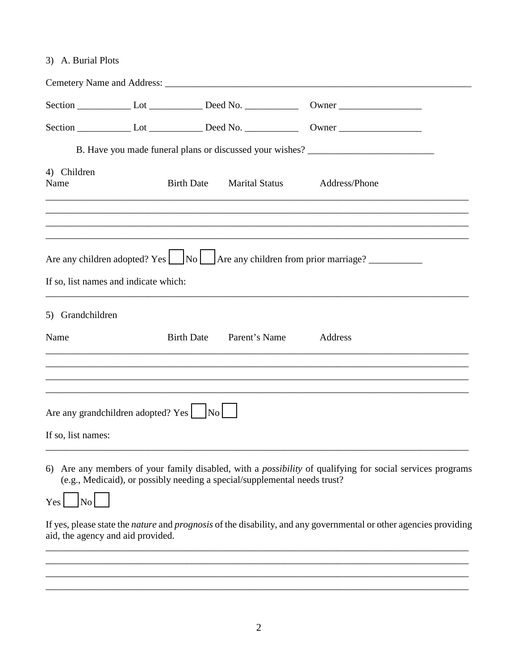3) A. Burial Plots

|                                         |                   |               | Section Let Lot _________ Deed No. _____________ Owner __________________________           |
|-----------------------------------------|-------------------|---------------|---------------------------------------------------------------------------------------------|
|                                         |                   |               | B. Have you made funeral plans or discussed your wishes? _______________________            |
| 4) Children<br>Name                     |                   |               | Birth Date Marital Status Address/Phone                                                     |
|                                         |                   |               |                                                                                             |
| If so, list names and indicate which:   |                   |               | Are any children adopted? Yes $\Box$ No $\Box$ Are any children from prior marriage? $\Box$ |
| 5) Grandchildren                        |                   |               |                                                                                             |
| Name                                    | <b>Birth Date</b> | Parent's Name | Address                                                                                     |
|                                         |                   |               |                                                                                             |
| Are any grandchildren adopted? Yes   No |                   |               |                                                                                             |
| If so, list names:                      |                   |               |                                                                                             |

6) Are any members of your family disabled, with a possibility of qualifying for social services programs (e.g., Medicaid), or possibly needing a special/supplemental needs trust?



If yes, please state the nature and prognosis of the disability, and any governmental or other agencies providing aid, the agency and aid provided.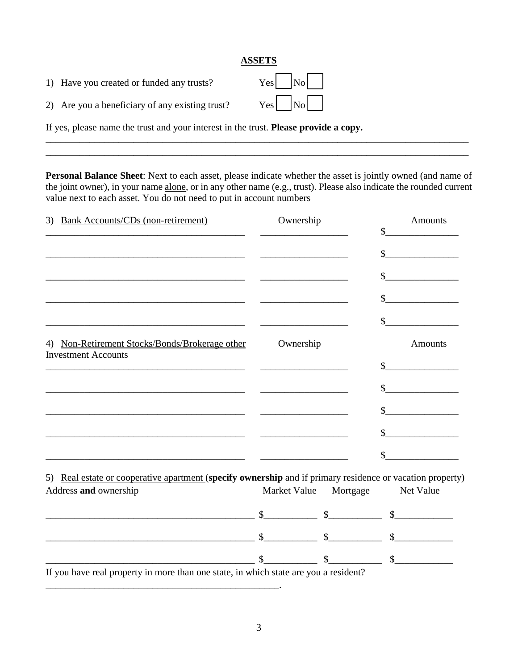## **ASSETS**

| 1) Have you created or funded any trusts? | $Yes \_ No \_$ |  |  |
|-------------------------------------------|----------------|--|--|
|-------------------------------------------|----------------|--|--|

2) Are you a beneficiary of any existing trust?  $Yes$   $\Box$  No

If yes, please name the trust and your interest in the trust. **Please provide a copy.** 

**Personal Balance Sheet**: Next to each asset, please indicate whether the asset is jointly owned (and name of the joint owner), in your name alone, or in any other name (e.g., trust). Please also indicate the rounded current value next to each asset. You do not need to put in account numbers

\_\_\_\_\_\_\_\_\_\_\_\_\_\_\_\_\_\_\_\_\_\_\_\_\_\_\_\_\_\_\_\_\_\_\_\_\_\_\_\_\_\_\_\_\_\_\_\_\_\_\_\_\_\_\_\_\_\_\_\_\_\_\_\_\_\_\_\_\_\_\_\_\_\_\_\_\_\_\_\_\_\_\_\_\_\_\_ \_\_\_\_\_\_\_\_\_\_\_\_\_\_\_\_\_\_\_\_\_\_\_\_\_\_\_\_\_\_\_\_\_\_\_\_\_\_\_\_\_\_\_\_\_\_\_\_\_\_\_\_\_\_\_\_\_\_\_\_\_\_\_\_\_\_\_\_\_\_\_\_\_\_\_\_\_\_\_\_\_\_\_\_\_\_\_

| 3) Bank Accounts/CDs (non-retirement)                                                                                | Ownership             | <b>Amounts</b>                          |
|----------------------------------------------------------------------------------------------------------------------|-----------------------|-----------------------------------------|
|                                                                                                                      |                       | <u> 1989 - Johann Barbara, martxa a</u> |
|                                                                                                                      |                       | $\frac{\text{S}}{\text{S}}$             |
| <u> 1989 - Johann Barn, amerikansk politiker (* 1908)</u>                                                            |                       | $\frac{1}{2}$                           |
|                                                                                                                      |                       |                                         |
|                                                                                                                      |                       |                                         |
| 4) Non-Retirement Stocks/Bonds/Brokerage other<br><b>Investment Accounts</b>                                         | Ownership             | <b>Amounts</b>                          |
|                                                                                                                      |                       |                                         |
|                                                                                                                      |                       |                                         |
|                                                                                                                      |                       | $\frac{\text{S}}{\text{S}}$             |
|                                                                                                                      |                       | $\sim$                                  |
| <u> 2000 - 2000 - 2000 - 2000 - 2000 - 2000 - 2000 - 2000 - 2000 - 2000 - 2000 - 2000 - 2000 - 2000 - 2000 - 200</u> |                       |                                         |
| 5) Real estate or cooperative apartment (specify ownership and if primary residence or vacation property)            |                       |                                         |
| Address and ownership                                                                                                | Market Value Mortgage | Net Value                               |

| If you have need nuananty in mana than and state, in which state are you a needeath. |  |  |
|--------------------------------------------------------------------------------------|--|--|

If you have real property in more than one state, in which state are you a resident?

\_\_\_\_\_\_\_\_\_\_\_\_\_\_\_\_\_\_\_\_\_\_\_\_\_\_\_\_\_\_\_\_\_\_\_\_\_\_\_\_\_\_\_\_\_\_\_\_.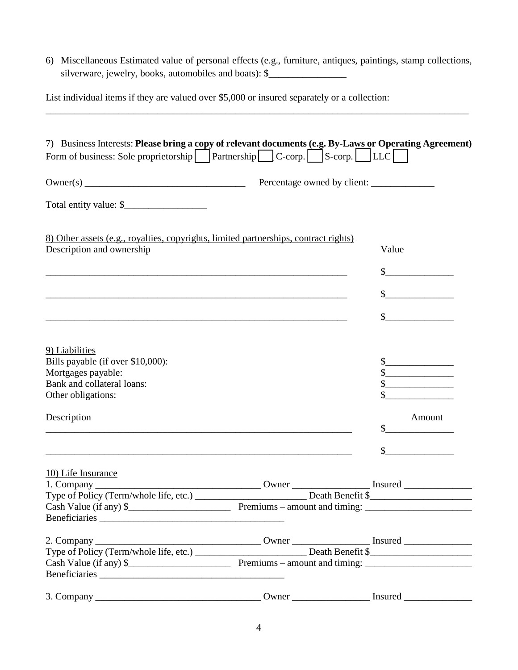6) Miscellaneous Estimated value of personal effects (e.g., furniture, antiques, paintings, stamp collections, silverware, jewelry, books, automobiles and boats): \$\_\_\_\_\_\_\_\_\_\_\_\_\_\_\_\_\_\_\_\_\_\_\_\_\_\_\_

\_\_\_\_\_\_\_\_\_\_\_\_\_\_\_\_\_\_\_\_\_\_\_\_\_\_\_\_\_\_\_\_\_\_\_\_\_\_\_\_\_\_\_\_\_\_\_\_\_\_\_\_\_\_\_\_\_\_\_\_\_\_\_\_\_\_\_\_\_\_\_\_\_\_\_\_\_\_\_\_\_\_\_\_\_\_\_

List individual items if they are valued over \$5,000 or insured separately or a collection:

| 7) Business Interests: Please bring a copy of relevant documents (e.g. By-Laws or Operating Agreement)                 |       |                                                                                                                       |
|------------------------------------------------------------------------------------------------------------------------|-------|-----------------------------------------------------------------------------------------------------------------------|
| Form of business: Sole proprietorship $\Box$ Partnership $\Box$ C-corp. $\Box$ S-corp. $\Box$  LLC $\Box$              |       |                                                                                                                       |
|                                                                                                                        |       |                                                                                                                       |
|                                                                                                                        |       |                                                                                                                       |
| 8) Other assets (e.g., royalties, copyrights, limited partnerships, contract rights)                                   |       |                                                                                                                       |
| Description and ownership                                                                                              |       | Value                                                                                                                 |
| <u> 1989 - Johann Barn, amerikan bernama di sebagai bernama di sebagai bernama di sebagai bernama di sebagai bern</u>  |       | <u> 1989 - Jan Barat, prima prima prima prima prima prima prima prima prima prima prima prima prima prima prima p</u> |
| <u> 1989 - Johann Barn, amerikan berkema di sebagai berkema di sebagai berkema di sebagai berkema di sebagai berke</u> |       | $\frac{1}{2}$                                                                                                         |
| <u> 1989 - Johann Stoff, amerikansk politiker (d. 1989)</u>                                                            |       | $\frac{1}{2}$                                                                                                         |
|                                                                                                                        |       |                                                                                                                       |
| 9) Liabilities                                                                                                         |       |                                                                                                                       |
| Bills payable (if over \$10,000):                                                                                      |       |                                                                                                                       |
| Mortgages payable:                                                                                                     |       | $\sim$                                                                                                                |
| Bank and collateral loans:                                                                                             |       |                                                                                                                       |
| Other obligations:                                                                                                     |       |                                                                                                                       |
| Description                                                                                                            |       | Amount                                                                                                                |
|                                                                                                                        |       |                                                                                                                       |
|                                                                                                                        |       |                                                                                                                       |
| 10) Life Insurance                                                                                                     |       |                                                                                                                       |
|                                                                                                                        | Owner |                                                                                                                       |
| Type of Policy (Term/whole life, etc.)                                                                                 |       | Death Benefit \$                                                                                                      |
|                                                                                                                        |       |                                                                                                                       |
|                                                                                                                        |       |                                                                                                                       |
|                                                                                                                        |       |                                                                                                                       |
|                                                                                                                        |       |                                                                                                                       |
|                                                                                                                        |       |                                                                                                                       |
|                                                                                                                        |       |                                                                                                                       |
|                                                                                                                        |       |                                                                                                                       |